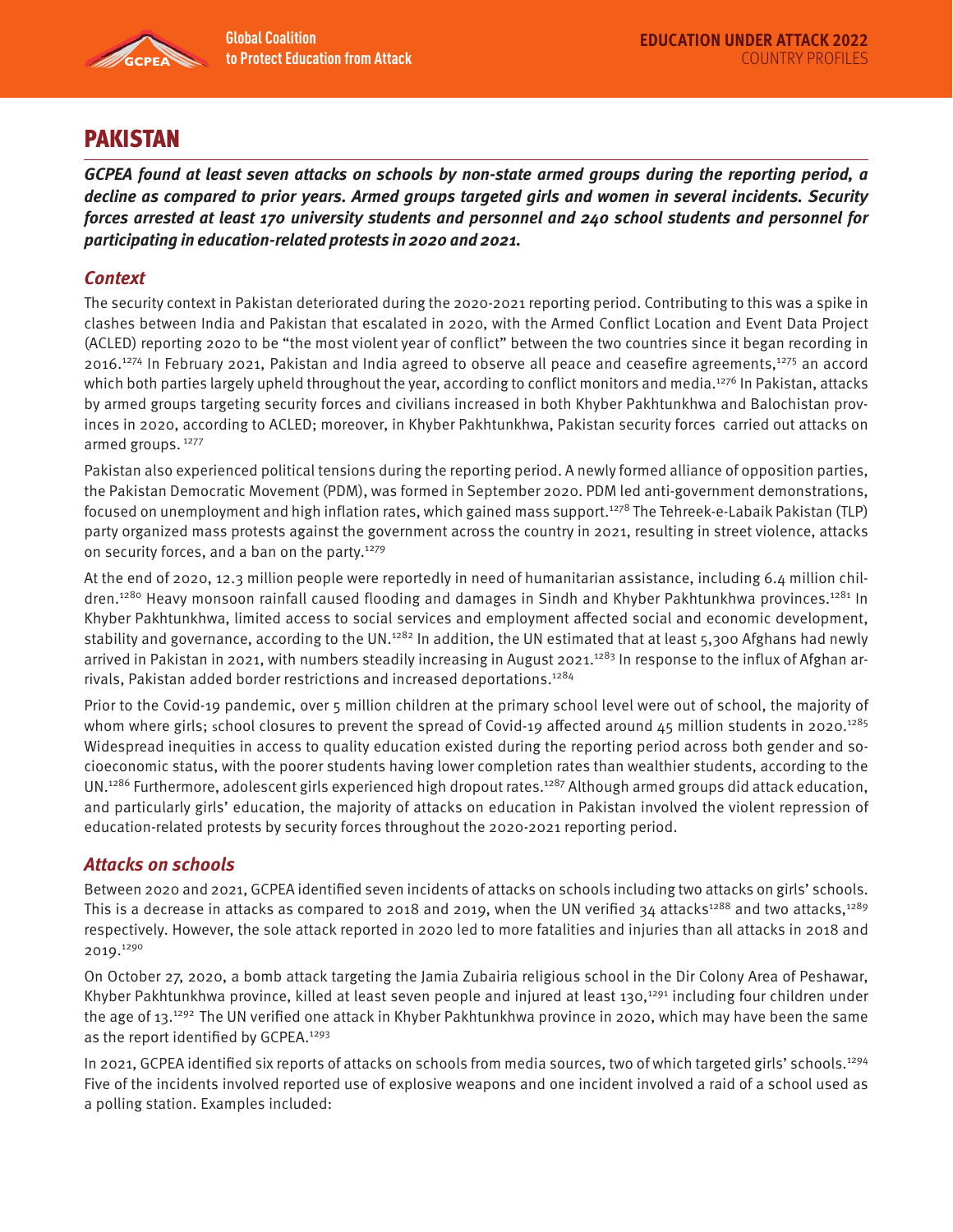

# PAKISTAN

**GCPEA found at least seven attacks on schools by non-state armed groups during the reporting period, a decline as compared to prior years. Armed groups targeted girls and women in several incidents. Security forces arrested at least 170 university students and personnel and 240 school students and personnel for participating in education-related protests in 2020 and 2021.** 

### **Context**

The security context in Pakistan deteriorated during the 2020-2021 reporting period. Contributing to this was a spike in clashes between India and Pakistan that escalated in 2020, with the Armed Conflict Location and Event Data Project (ACLED) reporting 2020 to be "the most violent year of conflict" between the two countries since it began recording in 2016.<sup>1274</sup> In February 2021, Pakistan and India agreed to observe all peace and ceasefire agreements,<sup>1275</sup> an accord which both parties largely upheld throughout the year, according to conflict monitors and media.<sup>1276</sup> In Pakistan, attacks by armed groups targeting security forces and civilians increased in both Khyber Pakhtunkhwa and Balochistan provinces in 2020, according to ACLED; moreover, in Khyber Pakhtunkhwa, Pakistan security forces carried out attacks on armed groups. 1277

Pakistan also experienced political tensions during the reporting period. A newly formed alliance of opposition parties, the Pakistan Democratic Movement (PDM), was formed in September 2020. PDM led anti-government demonstrations, focused on unemployment and high inflation rates, which gained mass support.1278 The Tehreek-e-Labaik Pakistan (TLP) party organized mass protests against the government across the country in 2021, resulting in street violence, attacks on security forces, and a ban on the party.1279

At the end of 2020, 12.3 million people were reportedly in need of humanitarian assistance, including 6.4 million children.<sup>1280</sup> Heavy monsoon rainfall caused flooding and damages in Sindh and Khyber Pakhtunkhwa provinces.<sup>1281</sup> In Khyber Pakhtunkhwa, limited access to social services and employment affected social and economic development, stability and governance, according to the UN.<sup>1282</sup> In addition, the UN estimated that at least 5,300 Afghans had newly arrived in Pakistan in 2021, with numbers steadily increasing in August 2021.<sup>1283</sup> In response to the influx of Afghan arrivals, Pakistan added border restrictions and increased deportations.<sup>1284</sup>

Prior to the Covid-19 pandemic, over 5 million children at the primary school level were out of school, the majority of whom where girls; school closures to prevent the spread of Covid-19 affected around 45 million students in 2020.<sup>1285</sup> Widespread inequities in access to quality education existed during the reporting period across both gender and socioeconomic status, with the poorer students having lower completion rates than wealthier students, according to the UN.<sup>1286</sup> Furthermore, adolescent girls experienced high dropout rates.<sup>1287</sup> Although armed groups did attack education, and particularly girls' education, the majority of attacks on education in Pakistan involved the violent repression of education-related protests by security forces throughout the 2020-2021 reporting period.

#### **Attacks on schools**

Between 2020 and 2021, GCPEA identified seven incidents of attacks on schools including two attacks on girls' schools. This is a decrease in attacks as compared to 2018 and 2019, when the UN verified 34 attacks<sup>1288</sup> and two attacks,<sup>1289</sup> respectively. However, the sole attack reported in 2020 led to more fatalities and injuries than all attacks in 2018 and 2019.1290

On October 27, 2020, a bomb attack targeting the Jamia Zubairia religious school in the Dir Colony Area of Peshawar, Khyber Pakhtunkhwa province, killed at least seven people and injured at least 130,<sup>1291</sup> including four children under the age of 13.<sup>1292</sup> The UN verified one attack in Khyber Pakhtunkhwa province in 2020, which may have been the same as the report identified by GCPEA.1293

In 2021, GCPEA identified six reports of attacks on schools from media sources, two of which targeted girls' schools.1294 Five of the incidents involved reported use of explosive weapons and one incident involved a raid of a school used as a polling station. Examples included: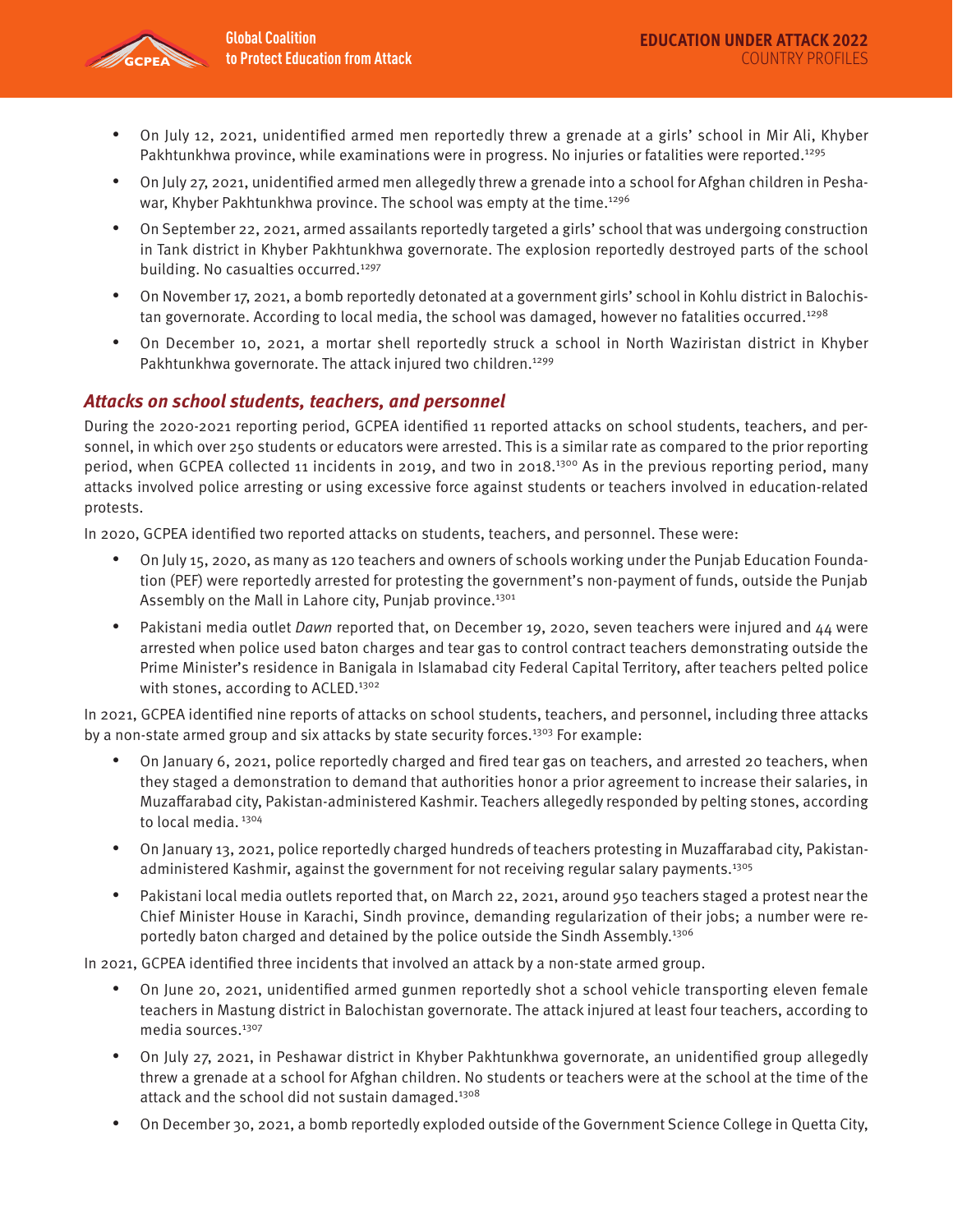

- On July 12, 2021, unidentified armed men reportedly threw a grenade at a girls' school in Mir Ali, Khyber Pakhtunkhwa province, while examinations were in progress. No injuries or fatalities were reported.<sup>1295</sup>
- On July 27, 2021, unidentified armed men allegedly threw a grenade into a school for Afghan children in Peshawar, Khyber Pakhtunkhwa province. The school was empty at the time.<sup>1296</sup>
- On September 22, 2021, armed assailants reportedly targeted a girls' school that was undergoing construction in Tank district in Khyber Pakhtunkhwa governorate. The explosion reportedly destroyed parts of the school building. No casualties occurred.<sup>1297</sup>
- On November 17, 2021, a bomb reportedly detonated at a government girls' school in Kohlu district in Balochistan governorate. According to local media, the school was damaged, however no fatalities occurred.<sup>1298</sup>
- On December 10, 2021, a mortar shell reportedly struck a school in North Waziristan district in Khyber Pakhtunkhwa governorate. The attack injured two children.<sup>1299</sup>

## **Attacks on school students, teachers, and personnel**

During the 2020-2021 reporting period, GCPEA identified 11 reported attacks on school students, teachers, and personnel, in which over 250 students or educators were arrested. This is a similar rate as compared to the prior reporting period, when GCPEA collected 11 incidents in 2019, and two in 2018.<sup>1300</sup> As in the previous reporting period, many attacks involved police arresting or using excessive force against students or teachers involved in education-related protests.

In 2020, GCPEA identified two reported attacks on students, teachers, and personnel. These were:

- On July 15, 2020, as many as 120 teachers and owners of schools working under the Punjab Education Foundation (PEF) were reportedly arrested for protesting the government's non-payment of funds, outside the Punjab Assembly on the Mall in Lahore city, Punjab province.<sup>1301</sup>
- Pakistani media outlet Dawn reported that, on December 19, 2020, seven teachers were injured and  $44$  were arrested when police used baton charges and tear gas to control contract teachers demonstrating outside the Prime Minister's residence in Banigala in Islamabad city Federal Capital Territory, after teachers pelted police with stones, according to ACLED.<sup>1302</sup>

In 2021, GCPEA identified nine reports of attacks on school students, teachers, and personnel, including three attacks by a non-state armed group and six attacks by state security forces.<sup>1303</sup> For example:

- On January 6, 2021, police reportedly charged and fired tear gas on teachers, and arrested 20 teachers, when they staged a demonstration to demand that authorities honor a prior agreement to increase their salaries, in Muzaffarabad city, Pakistan-administered Kashmir. Teachers allegedly responded by pelting stones, according to local media.<sup>1304</sup>
- On January 13, 2021, police reportedly charged hundreds of teachers protesting in Muzaffarabad city, Pakistanadministered Kashmir, against the government for not receiving regular salary payments.1305
- Pakistani local media outlets reported that, on March 22, 2021, around 950 teachers staged a protest near the Chief Minister House in Karachi, Sindh province, demanding regularization of their jobs; a number were reportedly baton charged and detained by the police outside the Sindh Assembly.<sup>1306</sup>

In 2021, GCPEA identified three incidents that involved an attack by a non-state armed group.

- On June 20, 2021, unidentified armed gunmen reportedly shot a school vehicle transporting eleven female teachers in Mastung district in Balochistan governorate. The attack injured at least four teachers, according to media sources.<sup>1307</sup>
- On July 27, 2021, in Peshawar district in Khyber Pakhtunkhwa governorate, an unidentified group allegedly threw a grenade at a school for Afghan children. No students or teachers were at the school at the time of the attack and the school did not sustain damaged.<sup>1308</sup>
- On December 30, 2021, a bomb reportedly exploded outside of the Government Science College in Quetta City,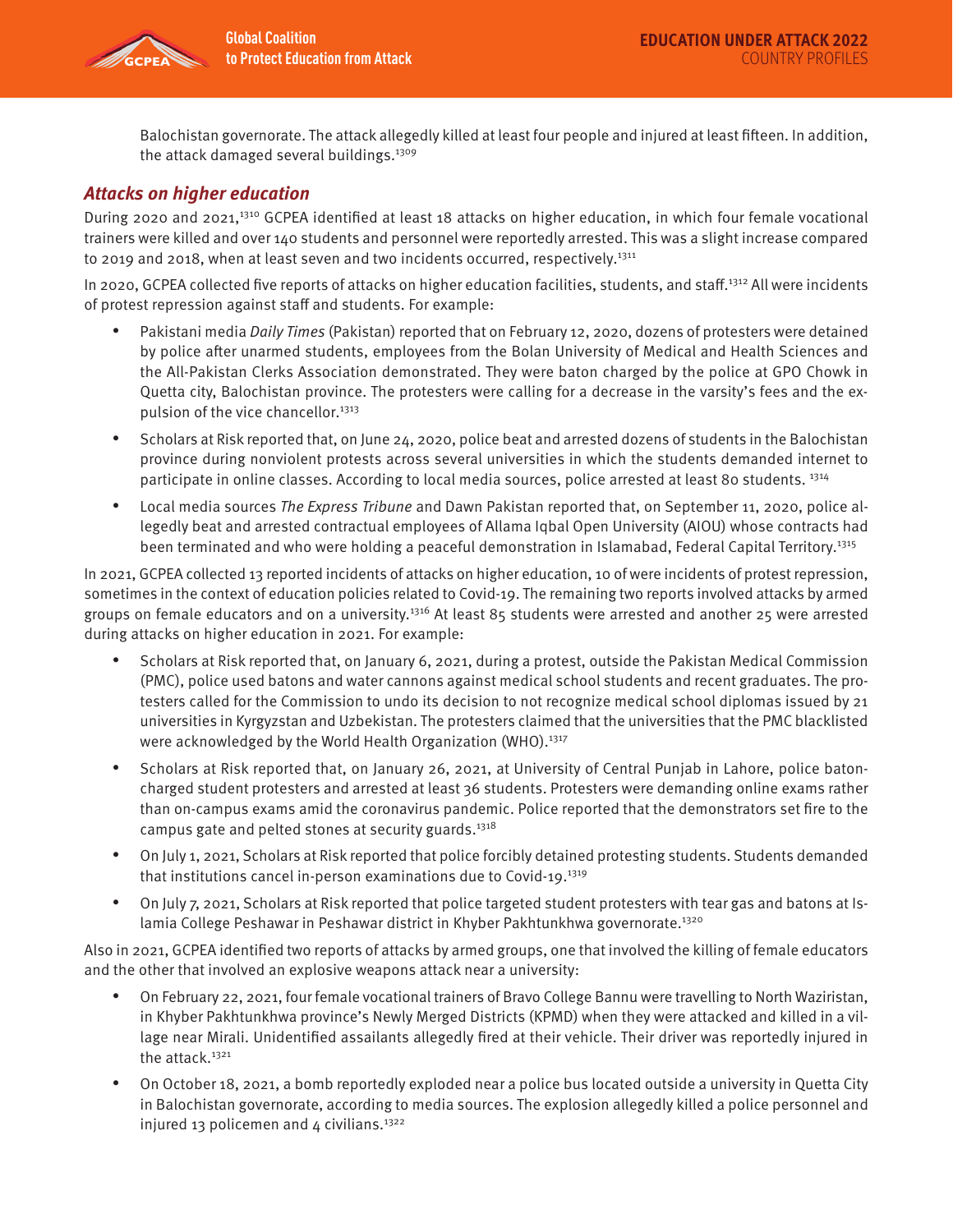

Balochistan governorate. The attack allegedly killed at least four people and injured at least fifteen. In addition, the attack damaged several buildings.<sup>1309</sup>

## **Attacks on higher education**

During 2020 and 2021,1310 GCPEA identified at least 18 attacks on higher education, in which four female vocational trainers were killed and over 140 students and personnel were reportedly arrested. This was a slight increase compared to 2019 and 2018, when at least seven and two incidents occurred, respectively.<sup>1311</sup>

In 2020, GCPEA collected five reports of attacks on higher education facilities, students, and staff.1312 All were incidents of protest repression against staff and students. For example:

- Pakistani media Daily Times (Pakistan) reported that on February 12, 2020, dozens of protesters were detained by police after unarmed students, employees from the Bolan University of Medical and Health Sciences and the All-Pakistan Clerks Association demonstrated. They were baton charged by the police at GPO Chowk in Quetta city, Balochistan province. The protesters were calling for a decrease in the varsity's fees and the expulsion of the vice chancellor.<sup>1313</sup>
- Scholars at Risk reported that, on June 24, 2020, police beat and arrested dozens of students in the Balochistan province during nonviolent protests across several universities in which the students demanded internet to participate in online classes. According to local media sources, police arrested at least 80 students. 1314
- Local media sources The Express Tribune and Dawn Pakistan reported that, on September 11, 2020, police allegedly beat and arrested contractual employees of Allama Iqbal Open University (AIOU) whose contracts had been terminated and who were holding a peaceful demonstration in Islamabad, Federal Capital Territory.<sup>1315</sup>

In 2021, GCPEA collected 13 reported incidents of attacks on higher education, 10 of were incidents of protest repression, sometimes in the context of education policies related to Covid-19. The remaining two reports involved attacks by armed groups on female educators and on a university.1316 At least 85 students were arrested and another 25 were arrested during attacks on higher education in 2021. For example:

- Scholars at Risk reported that, on January 6, 2021, during a protest, outside the Pakistan Medical Commission (PMC), police used batons and water cannons against medical school students and recent graduates. The protesters called for the Commission to undo its decision to not recognize medical school diplomas issued by 21 universities in Kyrgyzstan and Uzbekistan. The protesters claimed that the universities that the PMC blacklisted were acknowledged by the World Health Organization (WHO).<sup>1317</sup>
- Scholars at Risk reported that, on January 26, 2021, at University of Central Punjab in Lahore, police batoncharged student protesters and arrested at least 36 students. Protesters were demanding online exams rather than on-campus exams amid the coronavirus pandemic. Police reported that the demonstrators set fire to the campus gate and pelted stones at security guards.<sup>1318</sup>
- On July 1, 2021, Scholars at Risk reported that police forcibly detained protesting students. Students demanded that institutions cancel in-person examinations due to Covid-19.1319
- On July 7, 2021, Scholars at Risk reported that police targeted student protesters with tear gas and batons at Islamia College Peshawar in Peshawar district in Khyber Pakhtunkhwa governorate.<sup>1320</sup>

Also in 2021, GCPEA identified two reports of attacks by armed groups, one that involved the killing of female educators and the other that involved an explosive weapons attack near a university:

- On February 22, 2021, four female vocational trainers of Bravo College Bannu were travelling to North Waziristan, in Khyber Pakhtunkhwa province's Newly Merged Districts (KPMD) when they were attacked and killed in a village near Mirali. Unidentified assailants allegedly fired at their vehicle. Their driver was reportedly injured in the attack. $1321$
- On October 18, 2021, a bomb reportedly exploded near a police bus located outside a university in Quetta City in Balochistan governorate, according to media sources. The explosion allegedly killed a police personnel and injured 13 policemen and  $4$  civilians.<sup>1322</sup>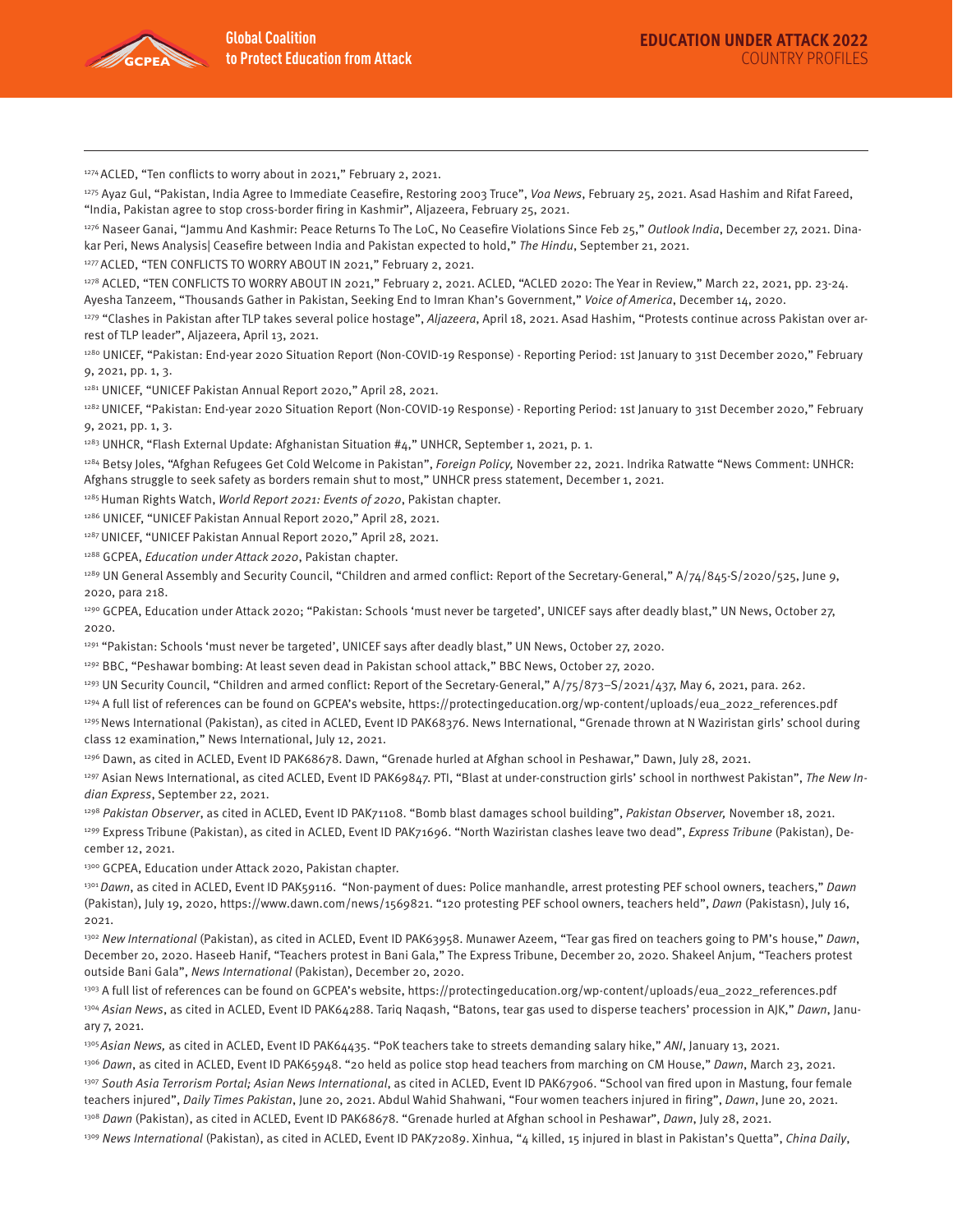

<sup>1274</sup> ACLED, "Ten conflicts to worry about in 2021," February 2, 2021.

<sup>1275</sup> Ayaz Gul, "Pakistan, India Agree to Immediate Ceasefire, Restoring 2003 Truce", Voa News, February 25, 2021. Asad Hashim and Rifat Fareed, "India, Pakistan agree to stop cross-border firing in Kashmir", Aljazeera, February 25, 2021.

<sup>1276</sup> Naseer Ganai, "Jammu And Kashmir: Peace Returns To The LoC, No Ceasefire Violations Since Feb 25," Outlook India, December 27, 2021. Dinakar Peri, News Analysis| Ceasefire between India and Pakistan expected to hold," The Hindu, September 21, 2021.

1277 ACLED, "TEN CONFLICTS TO WORRY ABOUT IN 2021," February 2, 2021.

1278 ACLED, "TEN CONFLICTS TO WORRY ABOUT IN 2021," February 2, 2021. ACLED, "ACLED 2020: The Year in Review," March 22, 2021, pp. 23-24. Ayesha Tanzeem, "Thousands Gather in Pakistan, Seeking End to Imran Khan's Government," Voice of America, December 14, 2020.

<sup>1279</sup> "Clashes in Pakistan after TLP takes several police hostage", Aljazeera, April 18, 2021. Asad Hashim, "Protests continue across Pakistan over arrest of TLP leader", Aljazeera, April 13, 2021.

1280 UNICEF, "Pakistan: End-year 2020 Situation Report (Non-COVID-19 Response) - Reporting Period: 1st January to 31st December 2020," February 9, 2021, pp. 1, 3.

1281 UNICEF, "UNICEF Pakistan Annual Report 2020," April 28, 2021.

1282 UNICEF, "Pakistan: End-year 2020 Situation Report (Non-COVID-19 Response) - Reporting Period: 1st January to 31st December 2020," February 9, 2021, pp. 1, 3.

1283 UNHCR, "Flash External Update: Afghanistan Situation #4," UNHCR, September 1, 2021, p. 1.

1284 Betsy Joles, "Afghan Refugees Get Cold Welcome in Pakistan", Foreign Policy, November 22, 2021. Indrika Ratwatte "News Comment: UNHCR: Afghans struggle to seek safety as borders remain shut to most," UNHCR press statement, December 1, 2021.

1285 Human Rights Watch, World Report 2021: Events of 2020, Pakistan chapter.

1286 UNICEF, "UNICEF Pakistan Annual Report 2020," April 28, 2021.

1287 UNICEF, "UNICEF Pakistan Annual Report 2020," April 28, 2021.

1288 GCPEA, Education under Attack 2020, Pakistan chapter.

<sup>1289</sup> UN General Assembly and Security Council, "Children and armed conflict: Report of the Secretary-General," A/74/845-S/2020/525, June 9, 2020, para 218.

<sup>1290</sup> GCPEA, Education under Attack 2020; "Pakistan: Schools 'must never be targeted', UNICEF says after deadly blast," UN News, October 27, 2020.

1291 "Pakistan: Schools 'must never be targeted', UNICEF says after deadly blast," UN News, October 27, 2020.

<sup>1292</sup> BBC, "Peshawar bombing: At least seven dead in Pakistan school attack," BBC News, October 27, 2020.

1293 UN Security Council, "Children and armed conflict: Report of the Secretary-General," A/75/873-S/2021/437, May 6, 2021, para. 262.

1294 A full list of references can be found on GCPEA's website, https://protectingeducation.org/wp-content/uploads/eua\_2022\_references.pdf

1295 News International (Pakistan), as cited in ACLED, Event ID PAK68376. News International, "Grenade thrown at N Waziristan girls' school during class 12 examination," News International, July 12, 2021.

1296 Dawn, as cited in ACLED, Event ID PAK68678. Dawn, "Grenade hurled at Afghan school in Peshawar," Dawn, July 28, 2021.

<sup>1297</sup> Asian News International, as cited ACLED, Event ID PAK69847. PTI, "Blast at under-construction girls' school in northwest Pakistan", The New Indian Express, September 22, 2021.

<sup>1298</sup> Pakistan Observer, as cited in ACLED, Event ID PAK71108. "Bomb blast damages school building", Pakistan Observer, November 18, 2021. <sup>1299</sup> Express Tribune (Pakistan), as cited in ACLED, Event ID PAK71696. "North Waziristan clashes leave two dead", Express Tribune (Pakistan), December 12, 2021.

1300 GCPEA, Education under Attack 2020, Pakistan chapter.

<sup>1301</sup> Dawn, as cited in ACLED, Event ID PAK59116. "Non-payment of dues: Police manhandle, arrest protesting PEF school owners, teachers," Dawn (Pakistan), July 19, 2020, https://www.dawn.com/news/1569821. "120 protesting PEF school owners, teachers held", Dawn (Pakistasn), July 16, 2021.

<sup>1302</sup> New International (Pakistan), as cited in ACLED, Event ID PAK63958. Munawer Azeem, "Tear gas fired on teachers going to PM's house," Dawn, December 20, 2020. Haseeb Hanif, "Teachers protest in Bani Gala," The Express Tribune, December 20, 2020. Shakeel Anjum, "Teachers protest outside Bani Gala", News International (Pakistan), December 20, 2020.

1303 A full list of references can be found on GCPEA's website, https://protectingeducation.org/wp-content/uploads/eua\_2022\_references.pdf 1304 Asian News, as cited in ACLED, Event ID PAK64288. Tariq Naqash, "Batons, tear gas used to disperse teachers' procession in AJK," Dawn, January 7, 2021.

<sup>1305</sup> Asian News, as cited in ACLED, Event ID PAK64435. "PoK teachers take to streets demanding salary hike," ANI, January 13, 2021.

<sup>1306</sup> Dawn, as cited in ACLED, Event ID PAK65948. "20 held as police stop head teachers from marching on CM House," Dawn, March 23, 2021.

<sup>1307</sup> South Asia Terrorism Portal; Asian News International, as cited in ACLED, Event ID PAK67906. "School van fired upon in Mastung, four female teachers injured", Daily Times Pakistan, June 20, 2021. Abdul Wahid Shahwani, "Four women teachers injured in firing", Dawn, June 20, 2021.

<sup>1308</sup> Dawn (Pakistan), as cited in ACLED, Event ID PAK68678. "Grenade hurled at Afghan school in Peshawar", Dawn, July 28, 2021.

<sup>1309</sup> News International (Pakistan), as cited in ACLED, Event ID PAK72089. Xinhua, "4 killed, 15 injured in blast in Pakistan's Quetta", China Daily,